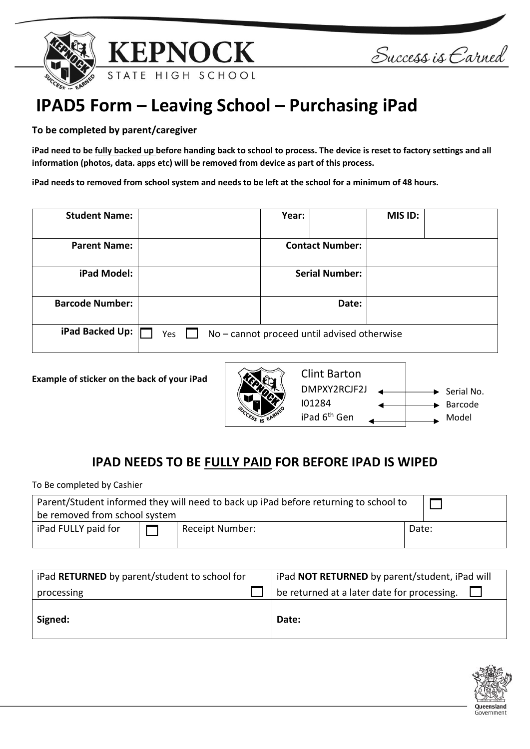



Success is Carned

## **IPAD5 Form – Leaving School – Purchasing iPad**

## **To be completed by parent/caregiver**

**iPad need to be fully backed up before handing back to school to process. The device is reset to factory settings and all information (photos, data. apps etc) will be removed from device as part of this process.**

**iPad needs to removed from school system and needs to be left at the school for a minimum of 48 hours.**

| <b>Student Name:</b>   |                                                    | Year: |                        | MIS ID: |  |
|------------------------|----------------------------------------------------|-------|------------------------|---------|--|
| <b>Parent Name:</b>    |                                                    |       | <b>Contact Number:</b> |         |  |
| iPad Model:            |                                                    |       | <b>Serial Number:</b>  |         |  |
| <b>Barcode Number:</b> |                                                    |       | Date:                  |         |  |
| iPad Backed Up:        | No – cannot proceed until advised otherwise<br>Yes |       |                        |         |  |

**Example of sticker on the back of your iPad**



## **IPAD NEEDS TO BE FULLY PAID FOR BEFORE IPAD IS WIPED**

To Be completed by Cashier

| Parent/Student informed they will need to back up iPad before returning to school to<br>be removed from school system |  |                 |       |  |  |
|-----------------------------------------------------------------------------------------------------------------------|--|-----------------|-------|--|--|
| iPad FULLY paid for                                                                                                   |  | Receipt Number: | Date: |  |  |

| iPad RETURNED by parent/student to school for | iPad NOT RETURNED by parent/student, iPad will |
|-----------------------------------------------|------------------------------------------------|
| processing                                    | be returned at a later date for processing.    |
| Signed:                                       | Date:                                          |